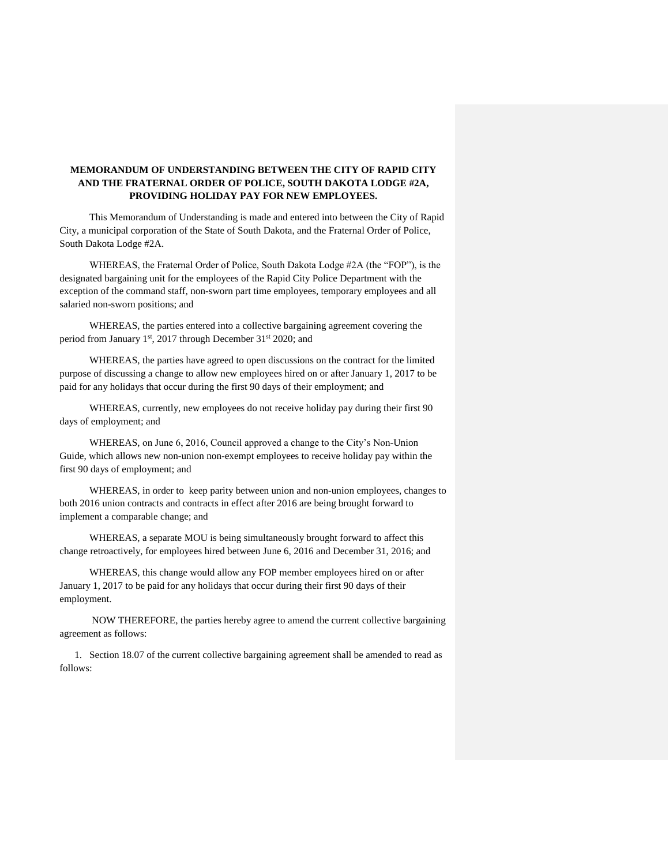## **MEMORANDUM OF UNDERSTANDING BETWEEN THE CITY OF RAPID CITY AND THE FRATERNAL ORDER OF POLICE, SOUTH DAKOTA LODGE #2A, PROVIDING HOLIDAY PAY FOR NEW EMPLOYEES.**

This Memorandum of Understanding is made and entered into between the City of Rapid City, a municipal corporation of the State of South Dakota, and the Fraternal Order of Police, South Dakota Lodge #2A.

WHEREAS, the Fraternal Order of Police, South Dakota Lodge #2A (the "FOP"), is the designated bargaining unit for the employees of the Rapid City Police Department with the exception of the command staff, non-sworn part time employees, temporary employees and all salaried non-sworn positions; and

WHEREAS, the parties entered into a collective bargaining agreement covering the period from January 1<sup>st</sup>, 2017 through December 31<sup>st</sup> 2020; and

WHEREAS, the parties have agreed to open discussions on the contract for the limited purpose of discussing a change to allow new employees hired on or after January 1, 2017 to be paid for any holidays that occur during the first 90 days of their employment; and

WHEREAS, currently, new employees do not receive holiday pay during their first 90 days of employment; and

WHEREAS, on June 6, 2016, Council approved a change to the City's Non-Union Guide, which allows new non-union non-exempt employees to receive holiday pay within the first 90 days of employment; and

WHEREAS, in order to keep parity between union and non-union employees, changes to both 2016 union contracts and contracts in effect after 2016 are being brought forward to implement a comparable change; and

WHEREAS, a separate MOU is being simultaneously brought forward to affect this change retroactively, for employees hired between June 6, 2016 and December 31, 2016; and

WHEREAS, this change would allow any FOP member employees hired on or after January 1, 2017 to be paid for any holidays that occur during their first 90 days of their employment.

NOW THEREFORE, the parties hereby agree to amend the current collective bargaining agreement as follows:

1. Section 18.07 of the current collective bargaining agreement shall be amended to read as follows: